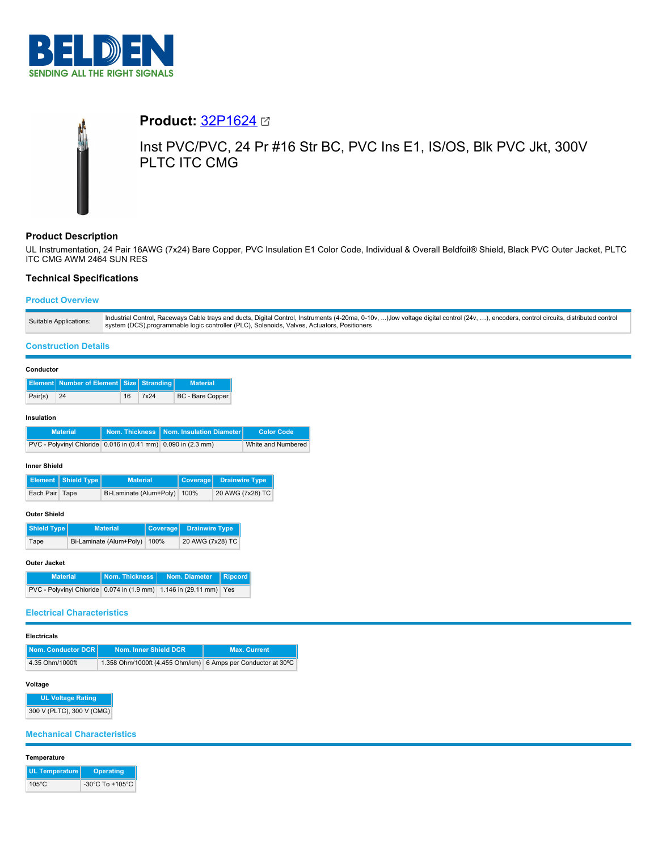

# **Product:** [32P1624](https://catalog.belden.com/index.cfm?event=pd&p=PF_32P1624&tab=downloads) Inst PVC/PVC, 24 Pr #16 Str BC, PVC Ins E1, IS/OS, Blk PVC Jkt, 300V PLTC ITC CMG

# **Product Description**

UL Instrumentation, 24 Pair 16AWG (7x24) Bare Copper, PVC Insulation E1 Color Code, Individual & Overall Beldfoil® Shield, Black PVC Outer Jacket, PLTC ITC CMG AWM 2464 SUN RES

# **Technical Specifications**

# **Product Overview**

#### **Construction Details**

|         | <b>Element Number of Element Size Stranding</b> |    |      | <b>Material</b>  |
|---------|-------------------------------------------------|----|------|------------------|
| Pair(s) | 24                                              | 16 | 7x24 | BC - Bare Copper |

#### **Insulation**

| <b>Material</b>                                               | ∣ Nom. Thickness │Nom. Insulation Diameter│ | <b>Color Code</b>  |
|---------------------------------------------------------------|---------------------------------------------|--------------------|
| PVC - Polyvinyl Chloride 0.016 in (0.41 mm) 0.090 in (2.3 mm) |                                             | White and Numbered |

#### **Inner Shield**

|                | Element   Shield Type | <b>Material</b>              | Coverage Drainwire Type |
|----------------|-----------------------|------------------------------|-------------------------|
| Each Pair Tape |                       | Bi-Laminate (Alum+Poly) 100% | 20 AWG (7x28) TC        |

# **Outer Shield**

| Shield Type | <b>Material</b>              | Coverage Drainwire Type |
|-------------|------------------------------|-------------------------|
| Tape        | Bi-Laminate (Alum+Poly) 100% | 20 AWG (7x28) TC        |

## **Outer Jacket**

| <b>Material</b>                                                    | Nom. Thickness I | Nom. Diameter Ripcord |  |
|--------------------------------------------------------------------|------------------|-----------------------|--|
| PVC - Polyvinyl Chloride 0.074 in (1.9 mm) 1.146 in (29.11 mm) Yes |                  |                       |  |

#### **Electrical Characteristics**

# **Electricals**

| Nom. Conductor DCR | Nom. Inner Shield DCR                                         | <b>Max. Current</b> |
|--------------------|---------------------------------------------------------------|---------------------|
| 4.35 Ohm/1000ft    | 1.358 Ohm/1000ft (4.455 Ohm/km) 6 Amps per Conductor at 30 °C |                     |

# **Voltage**

**UL Voltage Rating** 300 V (PLTC), 300 V (CMG)

# **Mechanical Characteristics**

# **Temperature**

| UL Temperature  | Operating                           |
|-----------------|-------------------------------------|
| $105^{\circ}$ C | $-30^{\circ}$ C To $+105^{\circ}$ C |